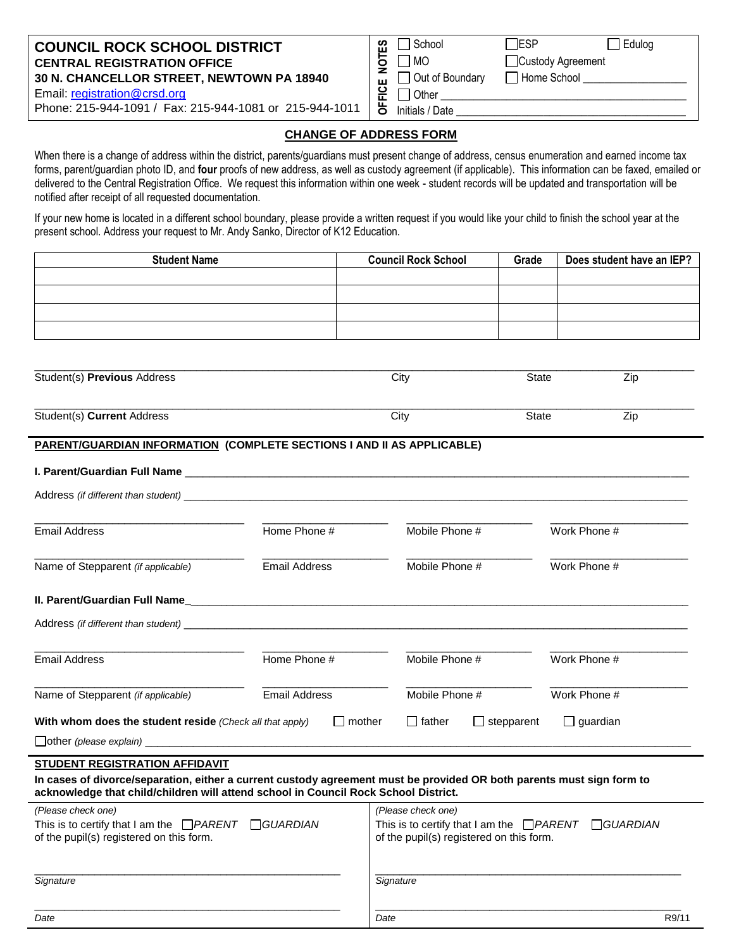### **COUNCIL ROCK SCHOOL DISTRICT CENTRAL REGISTRATION OFFICE 30 N. CHANCELLOR STREET, NEWTOWN PA 18940**

Email: [registration@crsd.org](mailto:registration@crsd.org)

Phone: 215-944-1091 / Fax: 215-944-1081 or 215-944-1011

|             | School          | <b>IESP</b>       | Edulog |
|-------------|-----------------|-------------------|--------|
| <b>OTES</b> | 1 MO            | Custody Agreement |        |
| Ž<br>ш      | Out of Boundary | Home School       |        |
| 훈           | $\Box$ Other    |                   |        |
| 正           | Initials / Date |                   |        |
|             |                 |                   |        |

### **CHANGE OF ADDRESS FORM**

When there is a change of address within the district, parents/guardians must present change of address, census enumeration and earned income tax forms, parent/guardian photo ID, and **four** proofs of new address, as well as custody agreement (if applicable). This information can be faxed, emailed or delivered to the Central Registration Office. We request this information within one week - student records will be updated and transportation will be notified after receipt of all requested documentation.

If your new home is located in a different school boundary, please provide a written request if you would like your child to finish the school year at the present school. Address your request to Mr. Andy Sanko, Director of K12 Education.

| <b>Student Name</b> | <b>Council Rock School</b> | Grade | Does student have an IEP? |
|---------------------|----------------------------|-------|---------------------------|
|                     |                            |       |                           |
|                     |                            |       |                           |
|                     |                            |       |                           |
|                     |                            |       |                           |

| Student(s) Previous Address | City | <b>State</b> | Zip              |
|-----------------------------|------|--------------|------------------|
| Student(s) Current Address  | City | State        | ZID <sup>-</sup> |

\_\_\_\_\_\_\_\_\_\_\_\_\_\_\_\_\_\_\_\_\_\_\_\_\_\_\_\_\_\_\_\_\_\_\_\_\_\_\_\_\_\_\_\_\_\_\_\_\_\_\_\_\_\_\_\_\_\_\_\_\_\_\_\_\_\_\_\_\_\_\_\_\_\_\_\_\_\_\_\_\_\_\_\_\_\_\_\_\_\_\_\_\_\_\_\_\_\_\_\_\_\_\_\_\_\_\_\_\_\_

#### **PARENT/GUARDIAN INFORMATION (COMPLETE SECTIONS I AND II AS APPLICABLE)**

#### **I. Parent/Guardian Full Name**

| Address (if different than student) example and the state of the state of the state of the state of the state of the state of the state of the state of the state of the state of the state of the state of the state of the s |               |                                                                                                                      |                 |  |
|--------------------------------------------------------------------------------------------------------------------------------------------------------------------------------------------------------------------------------|---------------|----------------------------------------------------------------------------------------------------------------------|-----------------|--|
| <b>Email Address</b>                                                                                                                                                                                                           | Home Phone #  | Mobile Phone #                                                                                                       | Work Phone #    |  |
| Name of Stepparent (if applicable)                                                                                                                                                                                             | Email Address | Mobile Phone #                                                                                                       | Work Phone #    |  |
| II. Parent/Guardian Full Name                                                                                                                                                                                                  |               | <u> 1980 - Jan Barnett, fransk politik (d. 1980)</u>                                                                 |                 |  |
|                                                                                                                                                                                                                                |               |                                                                                                                      |                 |  |
| <b>Email Address</b>                                                                                                                                                                                                           | Home Phone #  | Mobile Phone #                                                                                                       | Work Phone #    |  |
| Name of Stepparent (if applicable)                                                                                                                                                                                             | Email Address | Mobile Phone #                                                                                                       | Work Phone #    |  |
| With whom does the student reside (Check all that apply)                                                                                                                                                                       | $\Box$ mother | $\Box$ father<br>stepparent                                                                                          | $\Box$ guardian |  |
|                                                                                                                                                                                                                                |               |                                                                                                                      |                 |  |
| <b>STUDENT REGISTRATION AFFIDAVIT</b>                                                                                                                                                                                          |               |                                                                                                                      |                 |  |
| In cases of divorce/separation, either a current custody agreement must be provided OR both parents must sign form to<br>acknowledge that child/children will attend school in Council Rock School District.                   |               |                                                                                                                      |                 |  |
| (Please check one)                                                                                                                                                                                                             |               | (Please check one)                                                                                                   |                 |  |
| This is to certify that I am the $\Box$ <i>PARENT</i> $\Box$ <i>GUARDIAN</i><br>of the pupil(s) registered on this form.                                                                                                       |               | This is to certify that I am the $\Box$ <i>PARENT</i><br>$\Box$ GUARDIAN<br>of the pupil(s) registered on this form. |                 |  |
| Signature                                                                                                                                                                                                                      |               | Signature                                                                                                            |                 |  |

\_\_\_\_\_\_\_\_\_\_\_\_\_\_\_\_\_\_\_\_\_\_\_\_\_\_\_\_\_\_\_\_\_\_\_\_\_\_\_\_\_\_\_\_\_\_\_\_\_\_\_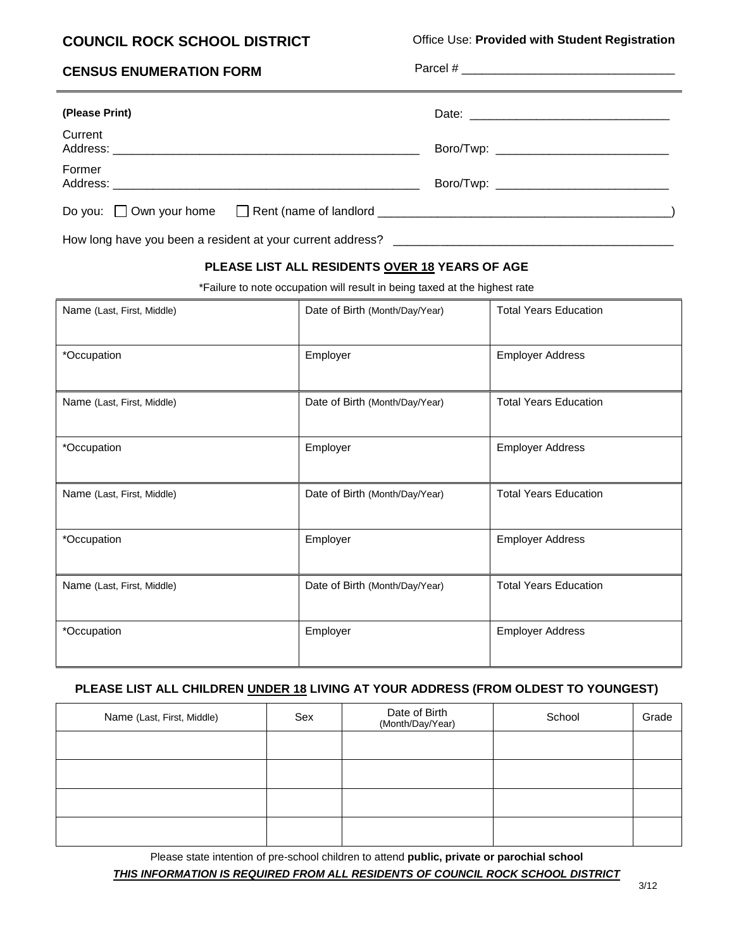# **COUNCIL ROCK SCHOOL DISTRICT**

Office Use: **Provided with Student Registration**

| <b>CENSUS ENUMERATION FORM</b>                                    |                                              |
|-------------------------------------------------------------------|----------------------------------------------|
| (Please Print)                                                    |                                              |
| Current                                                           |                                              |
| Former                                                            | Boro/Twp: __________________________________ |
| Do you: $\Box$ Own your home $\Box$ Rent (name of landlord $\Box$ |                                              |

How long have you been a resident at your current address? \_\_\_\_\_\_\_\_\_\_\_\_\_\_\_\_\_\_\_\_\_

### **PLEASE LIST ALL RESIDENTS OVER 18 YEARS OF AGE**

\*Failure to note occupation will result in being taxed at the highest rate

| Name (Last, First, Middle) | Date of Birth (Month/Day/Year) | <b>Total Years Education</b> |
|----------------------------|--------------------------------|------------------------------|
| *Occupation                | Employer                       | <b>Employer Address</b>      |
| Name (Last, First, Middle) | Date of Birth (Month/Day/Year) | <b>Total Years Education</b> |
| *Occupation                | Employer                       | <b>Employer Address</b>      |
| Name (Last, First, Middle) | Date of Birth (Month/Day/Year) | <b>Total Years Education</b> |
| *Occupation                | Employer                       | <b>Employer Address</b>      |
| Name (Last, First, Middle) | Date of Birth (Month/Day/Year) | <b>Total Years Education</b> |
| *Occupation                | Employer                       | <b>Employer Address</b>      |

### **PLEASE LIST ALL CHILDREN UNDER 18 LIVING AT YOUR ADDRESS (FROM OLDEST TO YOUNGEST)**

| Name (Last, First, Middle) | Sex | Date of Birth<br>(Month/Day/Year) | School | Grade |
|----------------------------|-----|-----------------------------------|--------|-------|
|                            |     |                                   |        |       |
|                            |     |                                   |        |       |
|                            |     |                                   |        |       |
|                            |     |                                   |        |       |

Please state intention of pre-school children to attend **public, private or parochial school** *THIS INFORMATION IS REQUIRED FROM ALL RESIDENTS OF COUNCIL ROCK SCHOOL DISTRICT*